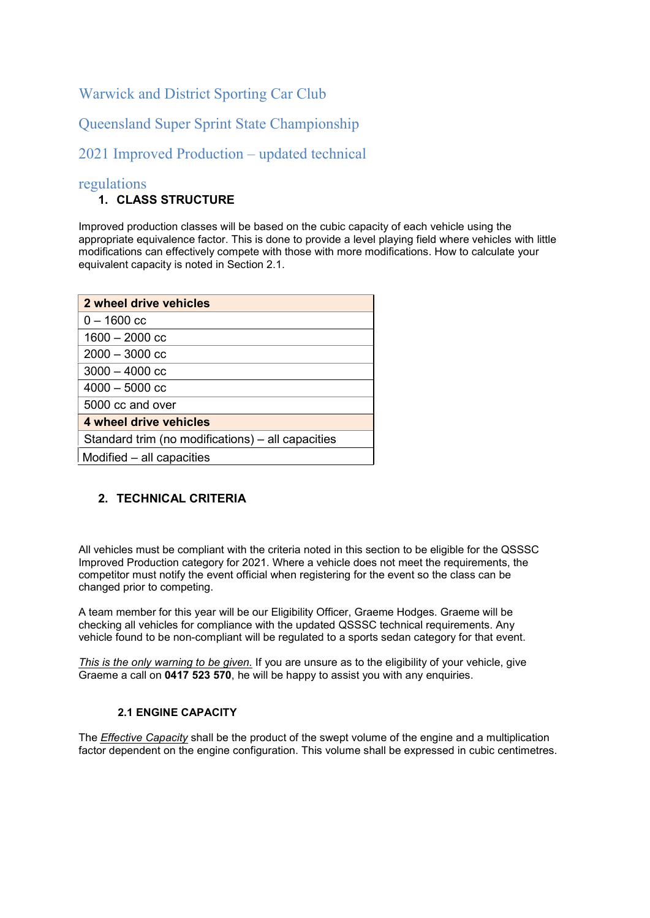# Warwick and District Sporting Car Club

Queensland Super Sprint State Championship

# 2021 Improved Production – updated technical

# regulations

## 1. CLASS STRUCTURE

Improved production classes will be based on the cubic capacity of each vehicle using the appropriate equivalence factor. This is done to provide a level playing field where vehicles with little modifications can effectively compete with those with more modifications. How to calculate your equivalent capacity is noted in Section 2.1.

| 2 wheel drive vehicles                            |
|---------------------------------------------------|
| $0 - 1600$ cc                                     |
| $1600 - 2000$ cc                                  |
| $2000 - 3000$ cc                                  |
| $3000 - 4000$ cc                                  |
| $4000 - 5000$ cc                                  |
| 5000 cc and over                                  |
| 4 wheel drive vehicles                            |
| Standard trim (no modifications) – all capacities |
| Modified – all capacities                         |

## 2. TECHNICAL CRITERIA

All vehicles must be compliant with the criteria noted in this section to be eligible for the QSSSC Improved Production category for 2021. Where a vehicle does not meet the requirements, the competitor must notify the event official when registering for the event so the class can be changed prior to competing.

A team member for this year will be our Eligibility Officer, Graeme Hodges. Graeme will be checking all vehicles for compliance with the updated QSSSC technical requirements. Any vehicle found to be non-compliant will be regulated to a sports sedan category for that event.

This is the only warning to be given. If you are unsure as to the eligibility of your vehicle, give Graeme a call on 0417 523 570, he will be happy to assist you with any enquiries.

## 2.1 ENGINE CAPACITY

The *Effective Capacity* shall be the product of the swept volume of the engine and a multiplication factor dependent on the engine configuration. This volume shall be expressed in cubic centimetres.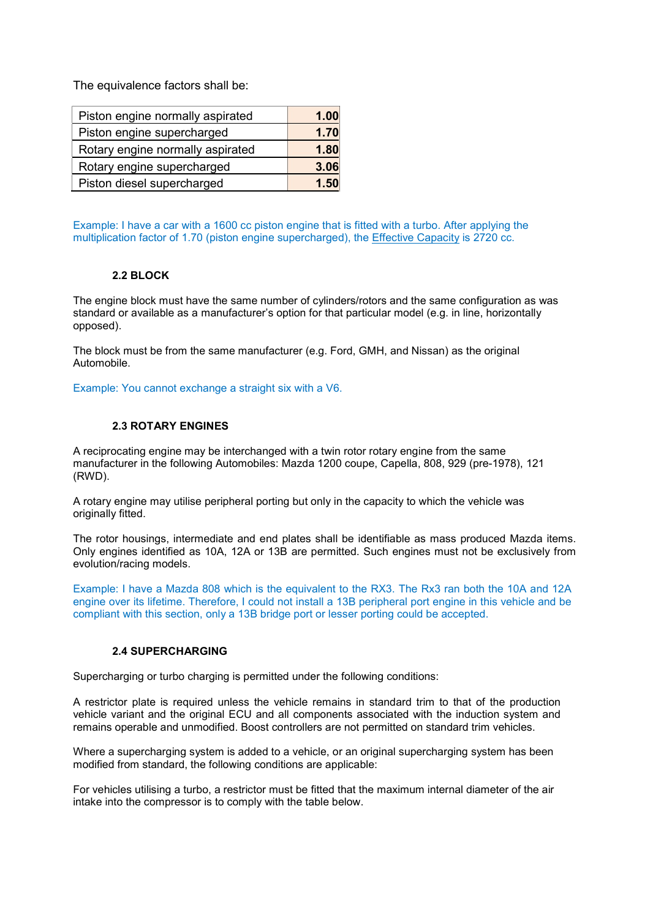The equivalence factors shall be:

| Piston engine normally aspirated | 1.00 |
|----------------------------------|------|
| Piston engine supercharged       | 1.70 |
| Rotary engine normally aspirated | 1.80 |
| Rotary engine supercharged       | 3.06 |
| Piston diesel supercharged       | 1.50 |

Example: I have a car with a 1600 cc piston engine that is fitted with a turbo. After applying the multiplication factor of 1.70 (piston engine supercharged), the Effective Capacity is 2720 cc.

## 2.2 BLOCK

The engine block must have the same number of cylinders/rotors and the same configuration as was standard or available as a manufacturer's option for that particular model (e.g. in line, horizontally opposed).

The block must be from the same manufacturer (e.g. Ford, GMH, and Nissan) as the original Automobile.

Example: You cannot exchange a straight six with a V6.

## 2.3 ROTARY ENGINES

A reciprocating engine may be interchanged with a twin rotor rotary engine from the same manufacturer in the following Automobiles: Mazda 1200 coupe, Capella, 808, 929 (pre-1978), 121 (RWD).

A rotary engine may utilise peripheral porting but only in the capacity to which the vehicle was originally fitted.

The rotor housings, intermediate and end plates shall be identifiable as mass produced Mazda items. Only engines identified as 10A, 12A or 13B are permitted. Such engines must not be exclusively from evolution/racing models.

Example: I have a Mazda 808 which is the equivalent to the RX3. The Rx3 ran both the 10A and 12A engine over its lifetime. Therefore, I could not install a 13B peripheral port engine in this vehicle and be compliant with this section, only a 13B bridge port or lesser porting could be accepted.

## 2.4 SUPERCHARGING

Supercharging or turbo charging is permitted under the following conditions:

A restrictor plate is required unless the vehicle remains in standard trim to that of the production vehicle variant and the original ECU and all components associated with the induction system and remains operable and unmodified. Boost controllers are not permitted on standard trim vehicles.

Where a supercharging system is added to a vehicle, or an original supercharging system has been modified from standard, the following conditions are applicable:

For vehicles utilising a turbo, a restrictor must be fitted that the maximum internal diameter of the air intake into the compressor is to comply with the table below.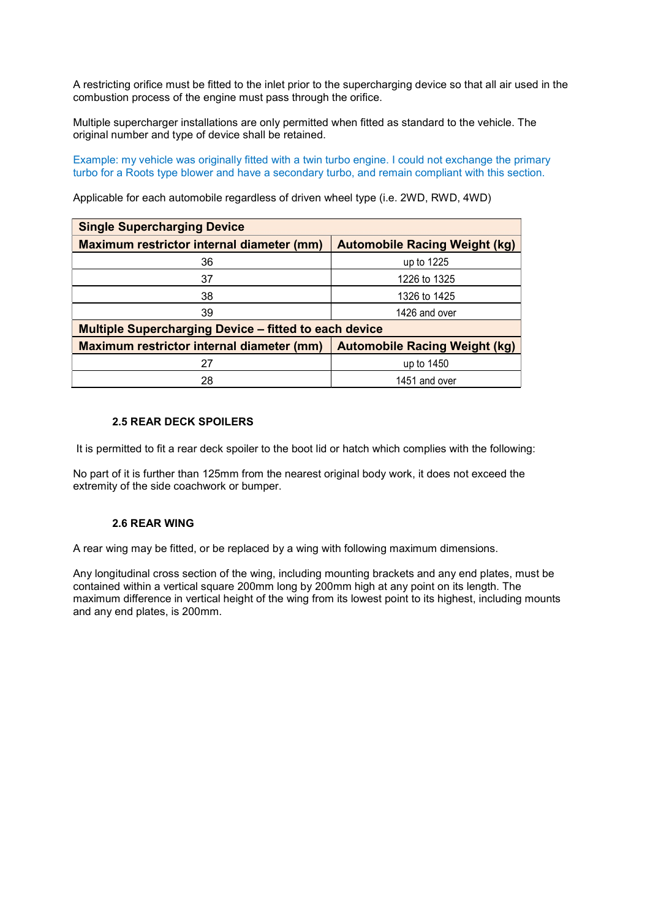A restricting orifice must be fitted to the inlet prior to the supercharging device so that all air used in the combustion process of the engine must pass through the orifice.

Multiple supercharger installations are only permitted when fitted as standard to the vehicle. The original number and type of device shall be retained.

Example: my vehicle was originally fitted with a twin turbo engine. I could not exchange the primary turbo for a Roots type blower and have a secondary turbo, and remain compliant with this section.

Applicable for each automobile regardless of driven wheel type (i.e. 2WD, RWD, 4WD)

| <b>Single Supercharging Device</b>                           |                                      |  |  |  |
|--------------------------------------------------------------|--------------------------------------|--|--|--|
| Maximum restrictor internal diameter (mm)                    | <b>Automobile Racing Weight (kg)</b> |  |  |  |
| 36                                                           | up to 1225                           |  |  |  |
| 37                                                           | 1226 to 1325                         |  |  |  |
| 38                                                           | 1326 to 1425                         |  |  |  |
| 39                                                           | 1426 and over                        |  |  |  |
| <b>Multiple Supercharging Device - fitted to each device</b> |                                      |  |  |  |
| Maximum restrictor internal diameter (mm)                    | <b>Automobile Racing Weight (kg)</b> |  |  |  |
| 27                                                           | up to 1450                           |  |  |  |
| 28                                                           | 1451 and over                        |  |  |  |

#### 2.5 REAR DECK SPOILERS

It is permitted to fit a rear deck spoiler to the boot lid or hatch which complies with the following:

No part of it is further than 125mm from the nearest original body work, it does not exceed the extremity of the side coachwork or bumper.

## 2.6 REAR WING

A rear wing may be fitted, or be replaced by a wing with following maximum dimensions.

Any longitudinal cross section of the wing, including mounting brackets and any end plates, must be contained within a vertical square 200mm long by 200mm high at any point on its length. The maximum difference in vertical height of the wing from its lowest point to its highest, including mounts and any end plates, is 200mm.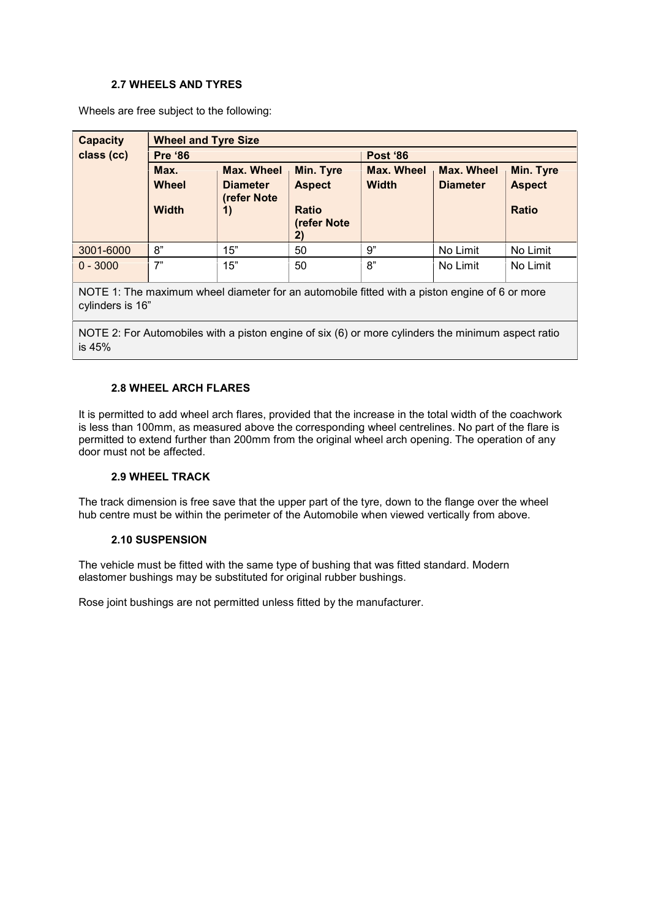## 2.7 WHEELS AND TYRES

Wheels are free subject to the following:

| <b>Capacity</b> | <b>Wheel and Tyre Size</b> |                                                |                             |                   |                   |               |
|-----------------|----------------------------|------------------------------------------------|-----------------------------|-------------------|-------------------|---------------|
| class (cc)      | <b>Pre '86</b>             |                                                |                             | <b>Post '86</b>   |                   |               |
|                 | Max.                       | <b>Max. Wheel</b>                              | <b>Min. Tyre</b>            | <b>Max. Wheel</b> | <b>Max. Wheel</b> | Min. Tyre     |
|                 | Wheel                      | <b>Diameter</b><br>(refer Note                 | <b>Aspect</b>               | <b>Width</b>      | <b>Diameter</b>   | <b>Aspect</b> |
|                 | <b>Width</b>               | $\left( \begin{matrix} 1 \end{matrix} \right)$ | <b>Ratio</b><br>(refer Note |                   |                   | <b>Ratio</b>  |
|                 |                            |                                                | 2)                          |                   |                   |               |
| 3001-6000       | 8"                         | 15"                                            | 50                          | 9"                | No Limit          | No Limit      |
| $0 - 3000$      | 7"                         | 15"                                            | 50                          | 8"                | No Limit          | No Limit      |

NOTE 1: The maximum wheel diameter for an automobile fitted with a piston engine of 6 or more cylinders is 16"

NOTE 2: For Automobiles with a piston engine of six (6) or more cylinders the minimum aspect ratio is 45%

## 2.8 WHEEL ARCH FLARES

It is permitted to add wheel arch flares, provided that the increase in the total width of the coachwork is less than 100mm, as measured above the corresponding wheel centrelines. No part of the flare is permitted to extend further than 200mm from the original wheel arch opening. The operation of any door must not be affected.

## 2.9 WHEEL TRACK

The track dimension is free save that the upper part of the tyre, down to the flange over the wheel hub centre must be within the perimeter of the Automobile when viewed vertically from above.

#### 2.10 SUSPENSION

The vehicle must be fitted with the same type of bushing that was fitted standard. Modern elastomer bushings may be substituted for original rubber bushings.

Rose joint bushings are not permitted unless fitted by the manufacturer.